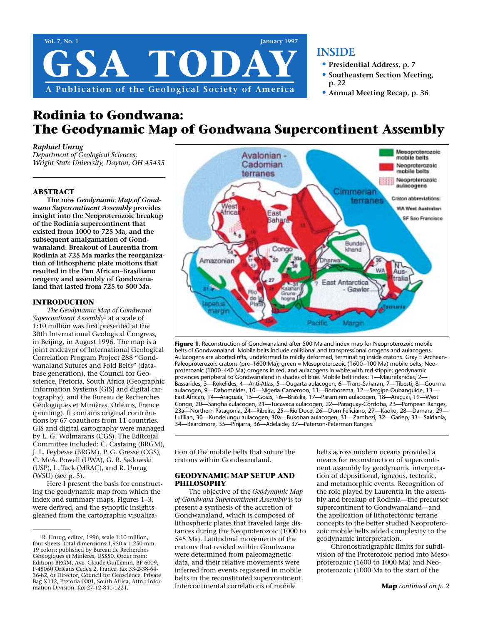

# **INSIDE**

- **• Presidential Address, p. 7**
- **• Southeastern Section Meeting, p. 22**
- **• Annual Meeting Recap, p. 36**

# **Rodinia to Gondwana: The Geodynamic Map of Gondwana Supercontinent Assembly**

### *Raphael Unrug*

*Department of Geological Sciences, Wright State University, Dayton, OH 45435*

### **ABSTRACT**

**The new** *Geodynamic Map of Gondwana Supercontinent Assembly* **provides insight into the Neoproterozoic breakup of the Rodinia supercontinent that existed from 1000 to 725 Ma, and the subsequent amalgamation of Gondwanaland. Breakout of Laurentia from Rodinia at 725 Ma marks the reorganization of lithospheric plate motions that resulted in the Pan African–Brasiliano orogeny and assembly of Gondwanaland that lasted from 725 to 500 Ma.**

### **INTRODUCTION**

*The Geodynamic Map of Gondwana Supercontinent Assembly*<sup>1</sup> at a scale of 1:10 million was first presented at the 30th International Geological Congress, in Beijing, in August 1996. The map is a joint endeavor of International Geological Correlation Program Project 288 "Gondwanaland Sutures and Fold Belts" (database generation), the Council for Geoscience, Pretoria, South Africa (Geographic Information Systems [GIS] and digital cartography), and the Bureau de Recherches Géologiques et Minières, Orléans, France (printing). It contains original contributions by 67 coauthors from 11 countries. GIS and digital cartography were managed by L. G. Wolmarans (CGS). The Editorial Committee included: C. Castaing (BRGM), J. L. Feybesse (BRGM), P. G. Gresse (CGS), C. McA. Powell (UWA), G. R. Sadowski (USP), L. Tack (MRAC), and R. Unrug (WSU) (see p. 5).

Here I present the basis for constructing the geodynamic map from which the index and summary maps, Figures 1–3, were derived, and the synoptic insights gleaned from the cartographic visualiza-



Figure 1. Reconstruction of Gondwanaland after 500 Ma and index map for Neoproterozoic mobile belts of Gondwanaland. Mobile belts include collisional and transpressional orogens and aulacogens. Aulacogens are aborted rifts, undeformed to mildly deformed, terminating inside cratons. Gray = Archean-Paleoproterozoic cratons (pre–1600 Ma); green = Mesoproterozoic (1600–100 Ma) mobile belts; Neoproterozoic (1000–440 Ma) orogens in red, and aulacogens in white with red stipple; geodynamic provinces peripheral to Gondwanaland in shades of blue. Mobile belt index: 1—Mauretanides, 2— Bassarides, 3—Rokelides, 4—Anti-Atlas, 5—Ougarta aulacogen, 6—Trans-Saharan, 7—Tibesti, 8—Gourma aulacogen, 9—Dahomeides, 10—Nigeria-Cameroon, 11—Borborema, 12—Sergipe-Oubanguide, 13— East African, 14—Araguaia, 15—Goias, 16—Brasilia, 17—Paramirim aulacogen, 18—Araçuai, 19—West Congo, 20—Sangha aulacogen, 21—Tucavaca aulacogen, 22—Paraguay-Cordoba, 23—Pampean Ranges, 23a—Northern Patagonia, 24—Ribeira, 25—Rio Doce, 26—Dom Feliciano, 27—Kaoko, 28—Damara, 29— Lufilian, 30—Kundelungu aulacogen, 30a—Bukoban aulacogen, 31—Zambezi, 32—Gariep, 33—Saldania, 34—Beardmore, 35—Pinjarra, 36—Adelaide, 37—Paterson-Peterman Ranges.

tion of the mobile belts that suture the cratons within Gondwanaland.

### **GEODYNAMIC MAP SETUP AND PHILOSOPHY**

The objective of the *Geodynamic Map of Gondwana Supercontinent Assembly* is to present a synthesis of the accretion of Gondwanaland, which is composed of lithospheric plates that traveled large distances during the Neoproterozoic (1000 to 545 Ma). Latitudinal movements of the cratons that resided within Gondwana were determined from paleomagnetic data, and their relative movements were inferred from events registered in mobile belts in the reconstituted supercontinent. Intercontinental correlations of mobile

belts across modern oceans provided a means for reconstruction of supercontinent assembly by geodynamic interpretation of depositional, igneous, tectonic, and metamorphic events. Recognition of the role played by Laurentia in the assembly and breakup of Rodinia—the precursor supercontinent to Gondwanaland—and the application of lithotectonic terrane concepts to the better studied Neoproterozoic mobile belts added complexity to the geodynamic interpretation.

Chronostratigraphic limits for subdivision of the Proterozoic period into Mesoproterozoic (1600 to 1000 Ma) and Neoproterozoic (1000 Ma to the start of the

<sup>1</sup>R. Unrug, editor, 1996, scale 1:10 million, four sheets, total dimensions 1,950 x 1,250 mm, 19 colors; published by Bureau de Recherches Géologiques et Minières, US\$50. Order from: Editions BRGM, Ave. Claude Guillemin, BP 6009, F-45060 Orléans Cedex 2, France, fax 33-2-38-64- 36-82, or Director, Council for Geoscience, Private Bag X112, Pretoria 0001, South Africa, Attn.: Information Division, fax 27-12-841-1221.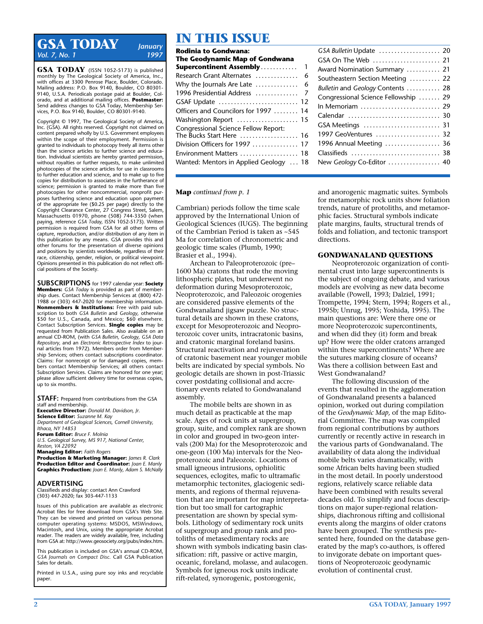# **GSA TODAY** *January Vol. 7, No. 1*

**GSA TODAY** (ISSN 1052-5173) is published monthly by The Geological Society of America, Inc., with offices at 3300 Penrose Place, Boulder, Colorado. Mailing address: P.O. Box 9140, Boulder, CO 80301- 9140, U.S.A. Periodicals postage paid at Boulder, Colorado, and at additional mailing offices. **Postmaster:** Send address changes to GSA Today, Membership Services, P.O. Box 9140, Boulder, CO 80301-9140.

Copyright © 1997, The Geological Society of America, Inc. (GSA). All rights reserved. Copyright not claimed on content prepared wholly by U.S. Government employees within the scope of their employment. Permission is granted to individuals to photocopy freely all items other than the science articles to further science and education. Individual scientists are hereby granted permission, without royalties or further requests, to make unlimited photocopies of the science articles for use in classrooms to further education and science, and to make up to five copies for distribution to associates in the furtherance of science; permission is granted to make more than five photocopies for other noncommercial, nonprofit purposes furthering science and education upon payment of the appropriate fee (\$0.25 per page) directly to the Copyright Clearance Center, 27 Congress Street, Salem, Massachusetts 01970, phone (508) 744-3350 (when paying, reference *GSA Today,* ISSN 1052-5173). Written permission is required from GSA for all other forms of capture, reproduction, and/or distribution of any item in this publication by any means. GSA provides this and other forums for the presentation of diverse opinions and positions by scientists worldwide, regardless of their race, citizenship, gender, religion, or political viewpoint. Opinions presented in this publication do not reflect official positions of the Society.

**SUBSCRIPTIONS** for 1997 calendar year: **Society Members:** *GSA Today* is provided as part of member ship dues. Contact Membership Services at (800) 472- 1988 or (303) 447-2020 for membership information. **Nonmembers & Institutions:** Free with paid subscription to both *GSA Bulletin* and *Geology,* otherwise \$50 for U.S., Canada, and Mexico: \$60 elsewhere. Contact Subscription Services. **Single copies** may be requested from Publication Sales. Also available on an annual CD-ROM, (with *GSA Bulletin, Geology, GSA Data Repository,* and an *Electronic Retrospective Index* to journal articles from 1972). Members order from Membership Services; others contact subscriptions coordinator. Claims: For nonreceipt or for damaged copies, members contact Membership Services; all others contact Subscription Services. Claims are honored for one year; please allow sufficient delivery time for overseas copies, up to six months.

**STAFF:** Prepared from contributions from the GSA staff and membership. **Executive Director:** *Donald M. Davidson, Jr.* **Science Editor:** *Suzanne M. Kay Department of Geological Sciences, Cornell University, Ithaca, NY 14853* **Forum Editor:** *Bruce F. Molnia U.S. Geological Survey, MS 917, National Center, Reston, VA 22092* **Managing Editor:** *Faith Rogers*

**Production & Marketing Manager:** *James R. Clark* **Production Editor and Coordinator:** *Joan E. Manly* **Graphics Production:** *Joan E. Manly, Adam S. McNally*

#### **ADVERTISING**

Classifieds and display: contact Ann Crawford (303) 447-2020; fax 303-447-1133

Issues of this publication are available as electronic Acrobat files for free download from GSA's Web Site. They can be viewed and printed on various personal computer operating systems: MSDOS, MSWindows, Macintosh, and Unix, using the appropriate Acrobat reader. The readers are widely available, free, including from GSA at: http://www.geosociety.org/pubs/index.htm.

This publication is included on GSA's annual CD-ROM, *GSA Journals on Compact Disc.* Call GSA Publication Sales for details.

Printed in U.S.A., using pure soy inks and recyclable paper.

# **IN THIS ISSUE**

| Rodinia to Gondwana:<br>The Geodynamic Map of Gondwana     |              |
|------------------------------------------------------------|--------------|
| <b>Supercontinent Assembly</b>                             | $\mathbf{1}$ |
| Research Grant Alternates                                  | 6            |
| Why the Journals Are Late $\ldots$                         | 6            |
| 1996 Presidential Address  7                               |              |
| GSAF Update  12                                            |              |
| Officers and Councilors for 1997  14                       |              |
| Washington Report  15                                      |              |
| Congressional Science Fellow Report:                       |              |
| The Bucks Start Here $\,\dots\ldots\ldots\ldots\ldots\,16$ |              |
| Division Officers for 1997  17                             |              |
| Environment Matters  18                                    |              |
| Wanted: Mentors in Applied Geology  18                     |              |

| GSA Bulletin Update  20              |  |
|--------------------------------------|--|
| GSA On The Web  21                   |  |
| Award Nomination Summary  21         |  |
| Southeastern Section Meeting  22     |  |
| Bulletin and Geology Contents  28    |  |
| Congressional Science Fellowship  29 |  |
| In Memoriam  29                      |  |
| Calendar  30                         |  |
|                                      |  |
| 1997 GeoVentures  32                 |  |
| 1996 Annual Meeting  36              |  |
| Classifieds  38                      |  |
| New Geology Co-Editor  40            |  |
|                                      |  |

#### **Map** *continued from p. 1*

Cambrian) periods follow the time scale approved by the International Union of Geological Sciences (IUGS). The beginning of the Cambrian Period is taken as ~545 Ma for correlation of chronometric and geologic time scales (Plumb, 1990; Brasier et al., 1994).

Archean to Paleoproterozoic (pre– 1600 Ma) cratons that rode the moving lithospheric plates, but underwent no deformation during Mesoproterozoic, Neoproterozoic, and Paleozoic orogenies are considered passive elements of the Gondwanaland jigsaw puzzle. No structural details are shown in these cratons, except for Mesoproterozoic and Neoproterozoic cover units, intracratonic basins, and cratonic marginal foreland basins. Structural reactivation and rejuvenation of cratonic basement near younger mobile belts are indicated by special symbols. No geologic details are shown in post-Triassic cover postdating collisional and accretionary events related to Gondwanaland assembly.

The mobile belts are shown in as much detail as practicable at the map scale. Ages of rock units at supergroup, group, suite, and complex rank are shown in color and grouped in two-geon intervals (200 Ma) for the Mesoproterozoic and one-geon (100 Ma) intervals for the Neoproterozoic and Paleozoic. Locations of small igneous intrusions, ophiolitic sequences, eclogites, mafic to ultramafic metamorphic tectonites, glaciogenic sediments, and regions of thermal rejuvenation that are important for map interpretation but too small for cartographic presentation are shown by special symbols. Lithology of sedimentary rock units of supergroup and group rank and protoliths of metasedimentary rocks are shown with symbols indicating basin classification: rift, passive or active margin, oceanic, foreland, molasse, and aulacogen. Symbols for igneous rock units indicate rift-related, synorogenic, postorogenic,

and anorogenic magmatic suites. Symbols for metamorphic rock units show foliation trends, nature of protoliths, and metamorphic facies. Structural symbols indicate plate margins, faults, structural trends of folds and foliation, and tectonic transport directions.

#### **GONDWANALAND QUESTIONS**

Neoproterozoic organization of continental crust into large supercontinents is the subject of ongoing debate, and various models are evolving as new data become available (Powell, 1993; Dalziel, 1991; Trompette, 1994; Stern, 1994; Rogers et al., 1995b; Unrug, 1995; Yoshida, 1995). The main questions are: Were there one or more Neoproterozoic supercontinents, and when did they (it) form and break up? How were the older cratons arranged within these supercontinents? Where are the sutures marking closure of oceans? Was there a collision between East and West Gondwanaland?

The following discussion of the events that resulted in the agglomeration of Gondwanaland presents a balanced opinion, worked out during compilation of the *Geodynamic Map,* of the map Editorial Committee. The map was compiled from regional contributions by authors currently or recently active in research in the various parts of Gondwanaland. The availability of data along the individual mobile belts varies dramatically, with some African belts having been studied in the most detail. In poorly understood regions, relatively scarce reliable data have been combined with results several decades old. To simplify and focus descriptions on major super-regional relationships, diachronous rifting and collisional events along the margins of older cratons have been grouped. The synthesis presented here, founded on the database generated by the map's co-authors, is offered to invigorate debate on important questions of Neoproterozoic geodynamic evolution of continental crust.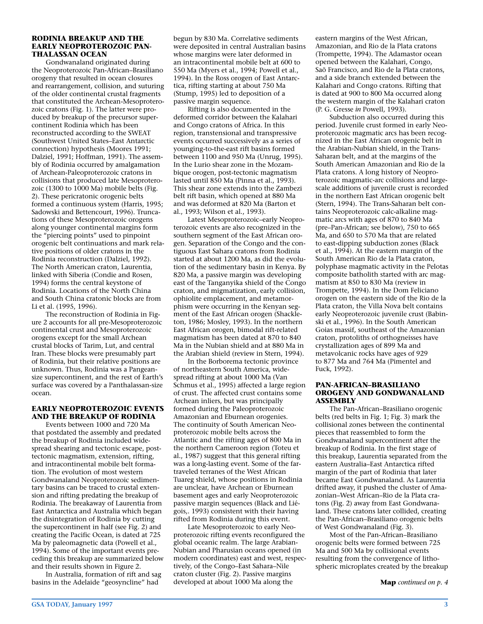#### **RODINIA BREAKUP AND THE EARLY NEOPROTEROZOIC PAN-THALASSAN OCEAN**

Gondwanaland originated during the Neoproterozoic Pan-African–Brasiliano orogeny that resulted in ocean closures and rearrangement, collision, and suturing of the older continental crustal fragments that constituted the Archean-Mesoproterozoic cratons (Fig. 1). The latter were produced by breakup of the precursor supercontinent Rodinia which has been reconstructed according to the SWEAT (Southwest United States–East Antarctic connection) hypothesis (Moores 1991; Dalziel, 1991; Hoffman, 1991). The assembly of Rodinia occurred by amalgamation of Archean-Paleoproterozoic cratons in collisions that produced late Mesoproterozoic (1300 to 1000 Ma) mobile belts (Fig. 2). These pericratonic orogenic belts formed a continuous system (Harris, 1995; Sadowski and Bettencourt, 1996). Truncations of these Mesoproterozoic orogens along younger continental margins form the "piercing points" used to pinpoint orogenic belt continuations and mark relative positions of older cratons in the Rodinia reconstruction (Dalziel, 1992). The North American craton, Laurentia, linked with Siberia (Condie and Rosen, 1994) forms the central keystone of Rodinia. Locations of the North China and South China cratonic blocks are from Li et al. (1995, 1996).

The reconstruction of Rodinia in Figure 2 accounts for all pre-Mesoproterozoic continental crust and Mesoproterozoic orogens except for the small Archean crustal blocks of Tarim, Lut, and central Iran. These blocks were presumably part of Rodinia, but their relative positions are unknown. Thus, Rodinia was a Pangeansize supercontinent, and the rest of Earth's surface was covered by a Panthalassan-size ocean.

### **EARLY NEOPROTEROZOIC EVENTS AND THE BREAKUP OF RODINIA**

Events between 1000 and 720 Ma that postdated the assembly and predated the breakup of Rodinia included widespread shearing and tectonic escape, posttectonic magmatism, extension, rifting, and intracontinental mobile belt formation. The evolution of most western Gondwanaland Neoproterozoic sedimentary basins can be traced to crustal extension and rifting predating the breakup of Rodinia. The breakaway of Laurentia from East Antarctica and Australia which began the disintegration of Rodinia by cutting the supercontinent in half (see Fig. 2) and creating the Pacific Ocean, is dated at 725 Ma by paleomagnetic data (Powell et al., 1994). Some of the important events preceding this breakup are summarized below and their results shown in Figure 2.

In Australia, formation of rift and sag basins in the Adelaide "geosyncline" had

begun by 830 Ma. Correlative sediments were deposited in central Australian basins whose margins were later deformed in an intracontinental mobile belt at 600 to 550 Ma (Myers et al., 1994; Powell et al., 1994). In the Ross orogen of East Antarctica, rifting starting at about 750 Ma (Stump, 1995) led to deposition of a passive margin sequence.

Rifting is also documented in the deformed corridor between the Kalahari and Congo cratons of Africa. In this region, transtensional and transpressive events occurred successively as a series of younging-to-the-east rift basins formed between 1100 and 950 Ma (Unrug, 1995). In the Lurio shear zone in the Mozambique orogen, post-tectonic magmatism lasted until 850 Ma (Pinna et al., 1993). This shear zone extends into the Zambezi belt rift basin, which opened at 880 Ma and was deformed at 820 Ma (Barton et al., 1993; Wilson et al., 1993).

Latest Mesoproterozoic–early Neoproterozoic events are also recognized in the southern segment of the East African orogen. Separation of the Congo and the contiguous East Sahara cratons from Rodinia started at about 1200 Ma, as did the evolution of the sedimentary basin in Kenya. By 820 Ma, a passive margin was developing east of the Tanganyika shield of the Congo craton, and migmatization, early collision, ophiolite emplacement, and metamorphism were occurring in the Kenyan segment of the East African orogen (Shackleton, 1986; Mosley, 1993). In the northern East African orogen, bimodal rift-related magmatism has been dated at 870 to 840 Ma in the Nubian shield and at 880 Ma in the Arabian shield (review in Stern, 1994).

In the Borborema tectonic province of northeastern South America, widespread rifting at about 1000 Ma (Van Schmus et al., 1995) affected a large region of crust. The affected crust contains some Archean inliers, but was principally formed during the Paleoproterozoic Amazonian and Eburnean orogenies. The continuity of South American Neoproterozoic mobile belts across the Atlantic and the rifting ages of 800 Ma in the northern Cameroon region (Toteu et al., 1987) suggest that this general rifting was a long-lasting event. Some of the fartraveled terranes of the West African Tuareg shield, whose positions in Rodinia are unclear, have Archean or Eburnean basement ages and early Neoproterozoic passive margin sequences (Black and Liégois,. 1993) consistent with their having rifted from Rodinia during this event.

Late Mesoproterozoic to early Neoproterozoic rifting events reconfigured the global oceanic realm. The large Arabian-Nubian and Pharusian oceans opened (in modern coordinates) east and west, respectively, of the Congo–East Sahara–Nile craton cluster (Fig. 2). Passive margins developed at about 1000 Ma along the

eastern margins of the West African, Amazonian, and Rio de la Plata cratons (Trompette, 1994). The Adamastor ocean opened between the Kalahari, Congo, Saõ Francisco, and Rio de la Plata cratons, and a side branch extended between the Kalahari and Congo cratons. Rifting that is dated at 900 to 800 Ma occurred along the western margin of the Kalahari craton (P. G. Gresse *in* Powell, 1993).

Subduction also occurred during this period. Juvenile crust formed in early Neoproterozoic magmatic arcs has been recognized in the East African orogenic belt in the Arabian-Nubian shield, in the Trans-Saharan belt, and at the margins of the South American Amazonian and Rio de la Plata cratons. A long history of Neoproterozoic magmatic-arc collisions and largescale additions of juvenile crust is recorded in the northern East African orogenic belt (Stern, 1994). The Trans-Saharan belt contains Neoproterozoic calc-alkaline magmatic arcs with ages of 870 to 840 Ma (pre–Pan-African; see below), 750 to 665 Ma, and 650 to 570 Ma that are related to east-dipping subduction zones (Black et al., 1994). At the eastern margin of the South American Rio de la Plata craton, polyphase magmatic activity in the Pelotas composite batholith started with arc magmatism at 850 to 830 Ma (review in Trompette, 1994). In the Dom Feliciano orogen on the eastern side of the Rio de la Plata craton, the Villa Nova belt contains early Neoproterozoic juvenile crust (Babinski et al., 1996). In the South American Goias massif, southeast of the Amazonian craton, protoliths of orthogneisses have crystallization ages of 899 Ma and metavolcanic rocks have ages of 929 to 877 Ma and 764 Ma (Pimentel and Fuck, 1992).

#### **PAN-AFRICAN–BRASILIANO OROGENY AND GONDWANALAND ASSEMBLY**

The Pan-African–Brasiliano orogenic belts (red belts in Fig. 1; Fig. 3) mark the collisional zones between the continental pieces that reassembled to form the Gondwanaland supercontinent after the breakup of Rodinia. In the first stage of this breakup, Laurentia separated from the eastern Australia–East Antarctica rifted margin of the part of Rodinia that later became East Gondwanaland. As Laurentia drifted away, it pushed the cluster of Amazonian–West African–Rio de la Plata cratons (Fig. 2) away from East Gondwanaland. These cratons later collided, creating the Pan-African–Brasiliano orogenic belts of West Gondwanaland (Fig. 3).

Most of the Pan-African–Brasiliano orogenic belts were formed between 725 Ma and 500 Ma by collisional events resulting from the convergence of lithospheric microplates created by the breakup

**Map** *continued on p. 4*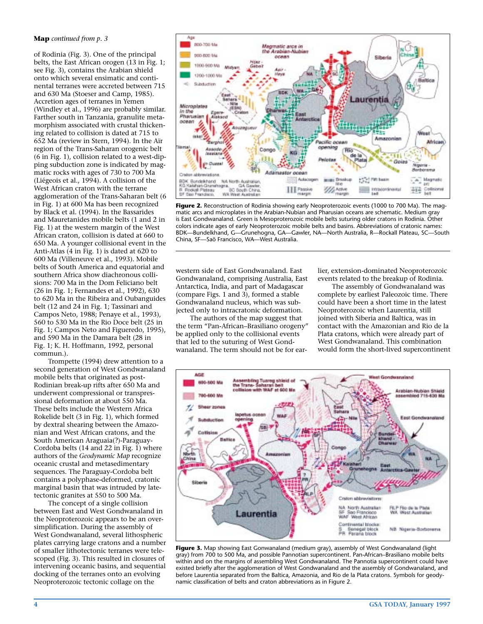#### **Map** *continued from p. 3*

of Rodinia (Fig. 3). One of the principal belts, the East African orogen (13 in Fig. 1; see Fig. 3), contains the Arabian shield onto which several ensimatic and continental terranes were accreted between 715 and 630 Ma (Stoeser and Camp, 1985). Accretion ages of terranes in Yemen (Windley et al., 1996) are probably similar. Farther south in Tanzania, granulite metamorphism associated with crustal thickening related to collision is dated at 715 to 652 Ma (review in Stern, 1994). In the Aïr region of the Trans-Saharan orogenic belt (6 in Fig. 1), collision related to a west-dipping subduction zone is indicated by magmatic rocks with ages of 730 to 700 Ma (Liégeois et al., 1994). A collision of the West African craton with the terrane agglomeration of the Trans-Saharan belt (6 in Fig. 1) at 600 Ma has been recognized by Black et al. (1994). In the Bassarides and Mauretanides mobile belts (1 and 2 in Fig. 1) at the western margin of the West African craton, collision is dated at 660 to 650 Ma. A younger collisional event in the Anti-Atlas (4 in Fig. 1) is dated at 620 to 600 Ma (Villeneuve et al., 1993). Mobile belts of South America and equatorial and southern Africa show diachronous collisions: 700 Ma in the Dom Feliciano belt (26 in Fig. 1; Fernandes et al., 1992), 630 to 620 Ma in the Ribeira and Oubanguides belt (12 and 24 in Fig. 1; Tassinari and Campos Neto, 1988; Penaye et al., 1993), 560 to 530 Ma in the Rio Doce belt (25 in Fig. 1; Campos Neto and Figueredo, 1995), and 590 Ma in the Damara belt (28 in Fig. 1; K. H. Hoffmann, 1992, personal commun.).

Trompette (1994) drew attention to a second generation of West Gondwanaland mobile belts that originated as post-Rodinian break-up rifts after 650 Ma and underwent compressional or transpressional deformation at about 550 Ma. These belts include the Western Africa Rokelide belt (3 in Fig. 1), which formed by dextral shearing between the Amazonian and West African cratons, and the South American Araguaia(?)-Paraguay-Cordoba belts (14 and 22 in Fig. 1) where authors of the *Geodynamic Map* recognize oceanic crustal and metasedimentary sequences. The Paraguay-Cordoba belt contains a polyphase-deformed, cratonic marginal basin that was intruded by latetectonic granites at 550 to 500 Ma.

The concept of a single collision between East and West Gondwanaland in the Neoproterozoic appears to be an oversimplification. During the assembly of West Gondwanaland, several lithospheric plates carrying large cratons and a number of smaller lithotectonic terranes were telescoped (Fig. 3). This resulted in closures of intervening oceanic basins, and sequential docking of the terranes onto an evolving Neoproterozoic tectonic collage on the



**Figure 2.** Reconstruction of Rodinia showing early Neoproterozoic events (1000 to 700 Ma). The magmatic arcs and microplates in the Arabian-Nubian and Pharusian oceans are schematic. Medium gray is East Gondwanaland. Green is Mesoproterozoic mobile belts suturing older cratons in Rodinia. Other colors indicate ages of early Neoproterozoic mobile belts and basins. Abbreviations of cratonic names: BDK—Bundelkhand, G—Grunehogna, GA—Gawler, NA—North Australia, R—Rockall Plateau, SC—South China, SF—Saõ Francisco, WA—West Australia.

western side of East Gondwanaland. East Gondwanaland, comprising Australia, East Antarctica, India, and part of Madagascar (compare Figs. 1 and 3), formed a stable Gondwanaland nucleus, which was subjected only to intracratonic deformation.

The authors of the map suggest that the term "Pan-African–Brasiliano orogeny" be applied only to the collisional events that led to the suturing of West Gondwanaland. The term should not be for earlier, extension-dominated Neoproterozoic events related to the breakup of Rodinia.

The assembly of Gondwanaland was complete by earliest Paleozoic time. There could have been a short time in the latest Neoproterozoic when Laurentia, still joined with Siberia and Baltica, was in contact with the Amazonian and Rio de la Plata cratons, which were already part of West Gondwanaland. This combination would form the short-lived supercontinent



**Figure 3.** Map showing East Gonwanaland (medium gray), assembly of West Gondwanaland (light gray) from 700 to 500 Ma, and possible Pannotian supercontinent. Pan-African–Brasiliano mobile belts within and on the margins of assembling West Gondwanaland. The Pannotia supercontinent could have existed briefly after the agglomeration of West Gondwanaland and the assembly of Gondwanaland, and before Laurentia separated from the Baltica, Amazonia, and Rio de la Plata cratons. Symbols for geodynamic classification of belts and craton abbreviations as in Figure 2.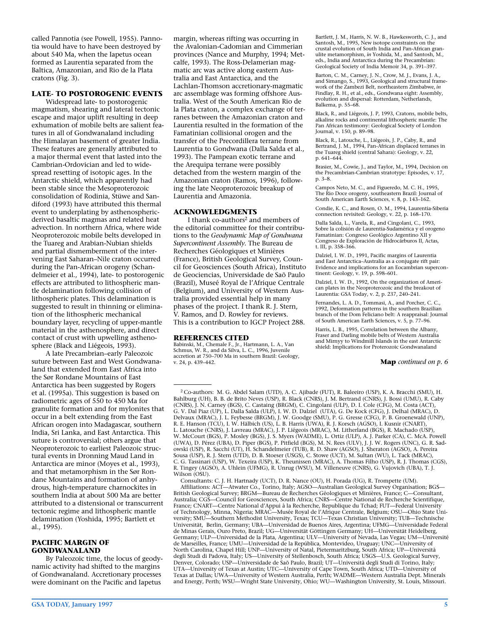called Pannotia (see Powell, 1955). Pannotia would have to have been destroyed by about 540 Ma, when the Iapetus ocean formed as Laurentia separated from the Baltica, Amazonian, and Rio de la Plata cratons (Fig. 3).

## **LATE- TO POSTOROGENIC EVENTS**

Widespread late- to postorogenic magmatism, shearing and lateral tectonic escape and major uplift resulting in deep exhumation of mobile belts are salient features in all of Gondwanaland including the Himalayan basement of greater India. These features are generally attributed to a major thermal event that lasted into the Cambrian-Ordovician and led to widespread resetting of isotopic ages. In the Antarctic shield, which apparently had been stable since the Mesoproterozoic consolidation of Rodinia, Stüwe and Sandiford (1993) have attributed this thermal event to underplating by asthenosphericderived basaltic magmas and related heat advection. In northern Africa, where wide Neoproterozoic mobile belts developed in the Tuareg and Arabian-Nubian shields and partial dismemberment of the intervening East Saharan–Nile craton occurred during the Pan-African orogeny (Schandelmeier et al., 1994), late- to postorogenic effects are attributed to lithospheric mantle delamination following collision of lithospheric plates. This delamination is suggested to result in thinning or elimination of the lithospheric mechanical boundary layer, recycling of upper-mantle material in the asthenosphere, and direct contact of crust with upwelling asthenosphere (Black and Liégeois, 1993).

A late Precambrian–early Paleozoic suture between East and West Gondwanaland that extended from East Africa into the Sør Rondane Mountains of East Antarctica has been suggested by Rogers et al. (1995a). This suggestion is based on radiometric ages of 550 to 450 Ma for granulite formation and for mylonites that occur in a belt extending from the East African orogen into Madagascar, southern India, Sri Lanka, and East Antarctica. This suture is controversial; others argue that Neoproterozoic to earliest Paleozoic structural events in Dronning Maud Land in Antarctica are minor (Moyes et al., 1993), and that metamorphism in the Sør Rondane Mountains and formation of anhydrous, high-temperature charnockites in southern India at about 500 Ma are better attributed to a distensional or transcurrent tectonic regime and lithospheric mantle delamination (Yoshida, 1995; Bartlett et al., 1995).

### **PACIFIC MARGIN OF GONDWANALAND**

By Paleozoic time, the locus of geodynamic activity had shifted to the margins of Gondwanaland. Accretionary processes were dominant on the Pacific and Iapetus

margin, whereas rifting was occurring in the Avalonian-Cadomian and Cimmerian provinces (Nance and Murphy, 1994; Metcalfe, 1993). The Ross-Delamerian magmatic arc was active along eastern Australia and East Antarctica, and the Lachlan-Thomson accretionary-magmatic arc assemblage was forming offshore Australia. West of the South American Rio de la Plata craton, a complex exchange of terranes between the Amazonian craton and Laurentia resulted in the formation of the Famatinian collisional orogen and the transfer of the Precordillera terrane from Laurentia to Gondwana (Dalla Salda et al., 1993). The Pampean exotic terrane and the Arequipa terrane were possibly detached from the western margin of the Amazonian craton (Ramos, 1996), following the late Neoproterozoic breakup of Laurentia and Amazonia.

# **ACKNOWLEDGMENTS**

I thank co-authors<sup>2</sup> and members of the editorial committee for their contributions to the *Geodynamic Map of Gondwana Supercontinent Assembly*. The Bureau de Recherches Géologiques et Minières (France), British Geological Survey, Council for Geosciences (South Africa), Instituto de Geociencias, Universidade de Saõ Paulo (Brazil), Museé Royal de l'Afrique Centrale (Belgium), and University of Western Australia provided essential help in many phases of the project. I thank R. J. Stern, V. Ramos, and D. Rowley for reviews. This is a contribution to IGCP Project 288.

## **REFERENCES CITED**

Babinski, M., Chemale F., Jr., Hartmann, L. A., Van Schmus, W. R., and da Silva, L. C., 1996, Juvenile accretion at 750–700 Ma in southern Brazil: Geology, v. 24, p. 439–442.

Bartlett, J. M., Harris, N. W. B., Hawkesworth, C. J., and Santosh, M., 1995, New isotope constraints on the crustal evolution of South India and Pan-African granulite metamorphism, *in* Yoshida, M., and Santosh, M., eds., India and Antarctica during the Precambrian: Geological Society of India Memoir 34, p. 391–397.

Barton, C. M., Carney, J. N., Crow, M. J., Evans, J. A., and Simango, S., 1993, Geological and structural framework of the Zambezi Belt, northeastern Zimbabwe, *in* Findlay, R. H., et al., eds., Gondwana eight: Assembly, evolution and dispersal: Rotterdam, Netherlands, Balkema, p. 55–68.

Black, R., and Liégeois, J. P, 1993, Cratons, mobile belts, alkaline rocks and continental lithospheric mantle: The Pan African testimony: Geological Society of London Journal, v. 150, p. 89–98.

Black, R., Latouche, L., Liégeois, J. P., Caby, R., and Bertrand, J. M., 1994, Pan-African displaced terranes in the Tuareg shield (central Sahara): Geology, v. 22, p. 641–644.

Brasier, M., Cowie, J., and Taylor, M., 1994, Decision on the Precambrian-Cambrian stratotype: Episodes, v. 17, p. 3–8.

Campos Neto, M. C., and Figueredo, M. C. H., 1995, The Rio Doce orogeny, southeastern Brazil: Journal of South American Earth Sciences, v. 8, p. 143–162.

Condie, K. C., and Rosen, O. M., 1994, Laurentia-Siberia connection revisited: Geology, v. 22, p. 168–170.

Dalla Salda, L., Varela, R., and Cingolani, C., 1993, Sobre la colisión de Laurentia-Sudamérica y el orogeno Famatinian: Congreso Geológico Argentino XII y Congreso de Exploración de Hidrocárburos II, Actas, t. III, p. 358–366.

Dalziel, I. W. D., 1991, Pacific margins of Laurentia and East Antarctica–Australia as a conjugate rift pair: Evidence and implications for an Eocambrian supercontinent: Geology, v. 19, p. 598–601.

Dalziel, I. W. D., 1992, On the organization of American plates in the Neoproterozoic and the breakout of Laurentia: GSA Today, v. 2, p. 237, 240–241.

Fernandes, L. A. D., Tommasi, A., and Porcher, C. C., 1992, Deformation patterns in the southern Brazilian branch of the Dom Feliciano belt: A reappraisal: Journal of South American Earth Sciences, v. 5, p. 77–96.

Harris, L. B., 1995, Correlation between the Albany, Fraser and Darling mobile belts of Western Australia and Mirnyy to Windmill Islands in the east Antarctic shield: Implications for Proterozoic Gondwanaland

**Map** *continued on p. 6*

<sup>2</sup> Co-authors: M. G. Abdel Salam (UTD), A. C. Ajibade (FUT), R. Baleeiro (USP), K. A. Bracchi (SMU), H. Bahlburg (UH), B. B. de Brito Neves (USP), R. Black (CNRS), J. M. Bertrand (CNRS), J. Bossi (UMU), R. Caby (CNRS), J. N. Carney (BGS), C. Castaing (BRGM), C. Cingolani (ULP), D. I. Cole (CFG), M. Costa (ACT), G. V. Dal Piaz (UP), L. Dalla Salda (ULP), I. W. D. Dalziel (UTA), G. De Kock (CFG), J. Delhal (MRAC), D. Delvaux (MRAC), J. L. Feybesse (BRGM), J. W. Goodge (SMU), P. G. Gresse (CFG), P. B. Groenewald (UNP), R. E. Hanson (TCU), I. W. Hälbich (US), L. B. Harris (UWA), R. J. Korsch (AGSO), I. Kusnir (CNART), L. Latouche (CNRS), J. Lavreau (MRAC), J. P. Liégeois (MRAC), M. Litherland (BGS), R. Machado (USP), W. McCourt (BGS), P. Mosley (BGS), J. S. Myers (WADME), L. Ortiz (ULP), A. J. Parker (CA), C. McA. Powell (UWA), D. Pérez (UBA), D. Piper (BGS), P. Pitfield (BGS), M. N. Rees (ULV), J. J. W. Rogers (UNC), G. R. Sadowski (USP), R. Sacchi (UT), H. Schandelmeier (TUB), R. D. Shaw (AGSO), J. Sheraton (AGSO), A. Pereira Sousa (USP), R. J. Stern (UTD), D. B. Stoeser (USGS), C. Stowe (UCT), M. Sultan (WU), L. Tack (MRAC), C. G. Tassinari (USP), W. Texeira (USP), K. Theunissen (MRAC), A. Thomas Filho (USP), R. J. Thomas (CGS), R. Tingey (AGSO), A. Uhlein (UFMG), R. Unrug (WSU), M. Villeneuve (CNRS), G. Vujovich (UBA), T. J. Wilson (OSU).

Consultants: C. J. H. Hartnady (UCT), D. R. Nance (OU), H. Porada (UG), R. Trompette (UM). Affiliations: ACT—Atwater Co., Torino, Italy; AGSO—Australian Geological Survey Organisation; BGS— British Geological Survey; BRGM—Bureau de Recherches Géologiques et Minières, France; C—Consultant, Australia; CGS—Council for Geosciences, South Africa; CNRS—Centre National de Recherche Scientifique, France; CNART—Centre National d'Appui à la Recherche, Republique du Tchad; FUT—Federal University of Technology, Minna, Nigeria; MRAC—Musée Royal de l'Afrique Centrale, Belgium; OSU—Ohio State University; SMU—Southern Methodist University, Texas; TCU—Texas Christian University; TUB—Technische Universität, Berlin, Germany; UBA—Universidad de Buenos Aires, Argentina; UFMG—Universidade Federal de Minas Gerais, Ouro Preto, Brazil; UG—Universität Göttingen Germany; UH—Universität Heidelberg, Germany; ULP—Universidad de la Plata, Argentina; ULV—University of Nevada, Las Vegas; UM—Université de Marseilles, France; UMU—Universidad de la República, Montevideo, Uruguay; UNC—University of North Carolina, Chapel Hill; UNP—University of Natal, Pietermaritzburg, South Africa; UP—Università degli Studi di Padova, Italy; US—University of Stellenbosch, South Africa; USGS—U.S. Geological Survey, Denver, Colorado; USP—Universidade de Saõ Paulo, Brazil; UT—Università degli Studi di Torino, Italy; UTA—University of Texas at Austin; UTC—University of Cape Town, South Africa; UTD—University of Texas at Dallas; UWA—University of Western Australia, Perth; WADME—Western Australia Dept. Minerals and Energy, Perth; WSU—Wright State University, Ohio; WU—Washington University, St. Louis, Missouri.